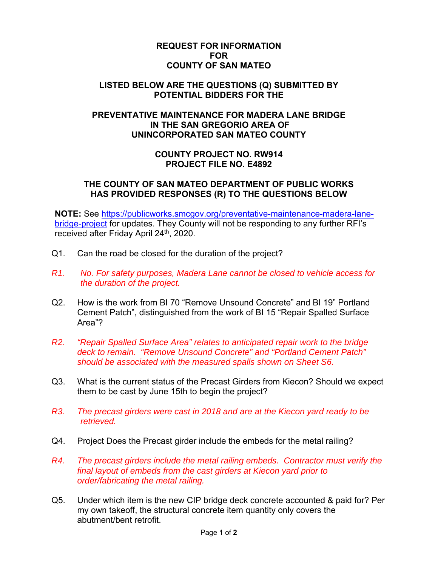## **REQUEST FOR INFORMATION FOR COUNTY OF SAN MATEO**

## **LISTED BELOW ARE THE QUESTIONS (Q) SUBMITTED BY POTENTIAL BIDDERS FOR THE**

# **PREVENTATIVE MAINTENANCE FOR MADERA LANE BRIDGE IN THE SAN GREGORIO AREA OF UNINCORPORATED SAN MATEO COUNTY**

# **COUNTY PROJECT NO. RW914 PROJECT FILE NO. E4892**

## **THE COUNTY OF SAN MATEO DEPARTMENT OF PUBLIC WORKS HAS PROVIDED RESPONSES (R) TO THE QUESTIONS BELOW**

**NOTE:** See https://publicworks.smcgov.org/preventative-maintenance-madera-lanebridge-project for updates. They County will not be responding to any further RFI's received after Friday April 24<sup>th</sup>, 2020.

- Q1. Can the road be closed for the duration of the project?
- *R1. No. For safety purposes, Madera Lane cannot be closed to vehicle access for the duration of the project.*
- Q2. How is the work from BI 70 "Remove Unsound Concrete" and BI 19" Portland Cement Patch", distinguished from the work of BI 15 "Repair Spalled Surface Area"?
- *R2. "Repair Spalled Surface Area" relates to anticipated repair work to the bridge deck to remain. "Remove Unsound Concrete" and "Portland Cement Patch" should be associated with the measured spalls shown on Sheet S6.*
- Q3. What is the current status of the Precast Girders from Kiecon? Should we expect them to be cast by June 15th to begin the project?
- *R3. The precast girders were cast in 2018 and are at the Kiecon yard ready to be retrieved.*
- Q4. Project Does the Precast girder include the embeds for the metal railing?
- *R4. The precast girders include the metal railing embeds. Contractor must verify the final layout of embeds from the cast girders at Kiecon yard prior to order/fabricating the metal railing.*
- Q5. Under which item is the new CIP bridge deck concrete accounted & paid for? Per my own takeoff, the structural concrete item quantity only covers the abutment/bent retrofit.